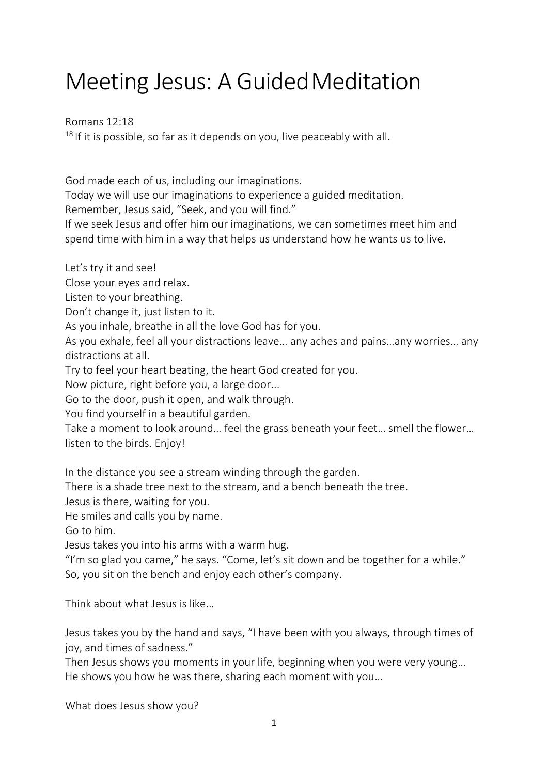## Meeting Jesus: A Guided Meditation

Romans 12:18

 $18$  If it is possible, so far as it depends on you, live peaceably with all.

God made each of us, including our imaginations.

Today we will use our imaginations to experience a guided meditation.

Remember, Jesus said, "Seek, and you will find."

If we seek Jesus and offer him our imaginations, we can sometimes meet him and spend time with him in a way that helps us understand how he wants us to live.

Let's try it and see!

Close your eyes and relax.

Listen to your breathing.

Don't change it, just listen to it.

As you inhale, breathe in all the love God has for you.

As you exhale, feel all your distractions leave… any aches and pains…any worries… any distractions at all.

Try to feel your heart beating, the heart God created for you.

Now picture, right before you, a large door...

Go to the door, push it open, and walk through.

You find yourself in a beautiful garden.

Take a moment to look around… feel the grass beneath your feet… smell the flower… listen to the birds. Enjoy!

In the distance you see a stream winding through the garden.

There is a shade tree next to the stream, and a bench beneath the tree.

Jesus is there, waiting for you.

He smiles and calls you by name.

Go to him.

Jesus takes you into his arms with a warm hug.

"I'm so glad you came," he says. "Come, let's sit down and be together for a while." So, you sit on the bench and enjoy each other's company.

Think about what Jesus is like…

Jesus takes you by the hand and says, "I have been with you always, through times of joy, and times of sadness."

Then Jesus shows you moments in your life, beginning when you were very young… He shows you how he was there, sharing each moment with you…

What does Jesus show you?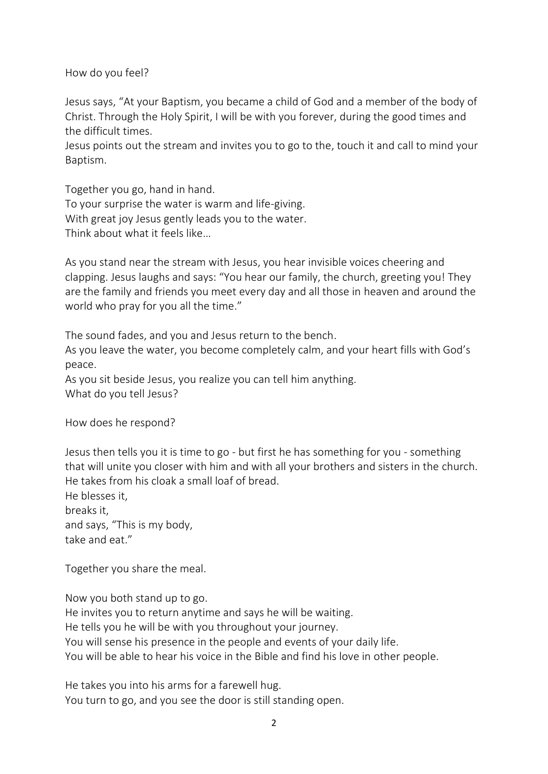How do you feel?

Jesus says, "At your Baptism, you became a child of God and a member of the body of Christ. Through the Holy Spirit, I will be with you forever, during the good times and the difficult times.

Jesus points out the stream and invites you to go to the, touch it and call to mind your Baptism.

Together you go, hand in hand. To your surprise the water is warm and life-giving. With great joy Jesus gently leads you to the water. Think about what it feels like…

As you stand near the stream with Jesus, you hear invisible voices cheering and clapping. Jesus laughs and says: "You hear our family, the church, greeting you! They are the family and friends you meet every day and all those in heaven and around the world who pray for you all the time."

The sound fades, and you and Jesus return to the bench.

As you leave the water, you become completely calm, and your heart fills with God's peace.

As you sit beside Jesus, you realize you can tell him anything. What do you tell Jesus?

How does he respond?

Jesus then tells you it is time to go - but first he has something for you - something that will unite you closer with him and with all your brothers and sisters in the church. He takes from his cloak a small loaf of bread.

He blesses it, breaks it, and says, "This is my body, take and eat."

Together you share the meal.

Now you both stand up to go. He invites you to return anytime and says he will be waiting. He tells you he will be with you throughout your journey. You will sense his presence in the people and events of your daily life. You will be able to hear his voice in the Bible and find his love in other people.

He takes you into his arms for a farewell hug. You turn to go, and you see the door is still standing open.